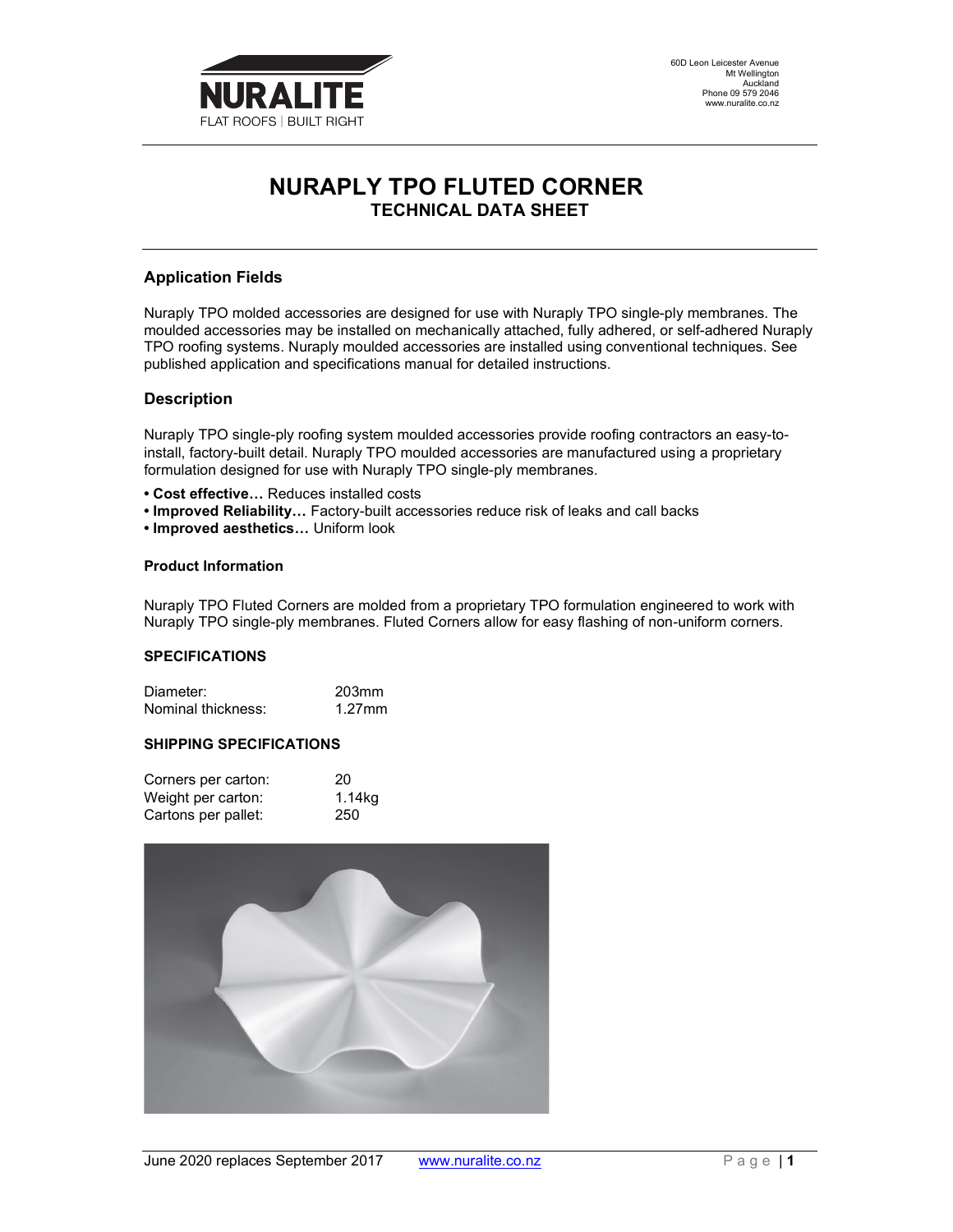

# NURAPLY TPO FLUTED CORNER TECHNICAL DATA SHEET

# Application Fields

Nuraply TPO molded accessories are designed for use with Nuraply TPO single-ply membranes. The moulded accessories may be installed on mechanically attached, fully adhered, or self-adhered Nuraply TPO roofing systems. Nuraply moulded accessories are installed using conventional techniques. See published application and specifications manual for detailed instructions.

## Description

Nuraply TPO single-ply roofing system moulded accessories provide roofing contractors an easy-toinstall, factory-built detail. Nuraply TPO moulded accessories are manufactured using a proprietary formulation designed for use with Nuraply TPO single-ply membranes.

- Cost effective… Reduces installed costs
- Improved Reliability… Factory-built accessories reduce risk of leaks and call backs
- Improved aesthetics… Uniform look

#### Product Information

Nuraply TPO Fluted Corners are molded from a proprietary TPO formulation engineered to work with Nuraply TPO single-ply membranes. Fluted Corners allow for easy flashing of non-uniform corners.

#### SPECIFICATIONS

Diameter: 203mm Nominal thickness: 1.27mm

## SHIPPING SPECIFICATIONS

| Corners per carton: | 20     |
|---------------------|--------|
| Weight per carton:  | 1.14kg |
| Cartons per pallet: | 250    |